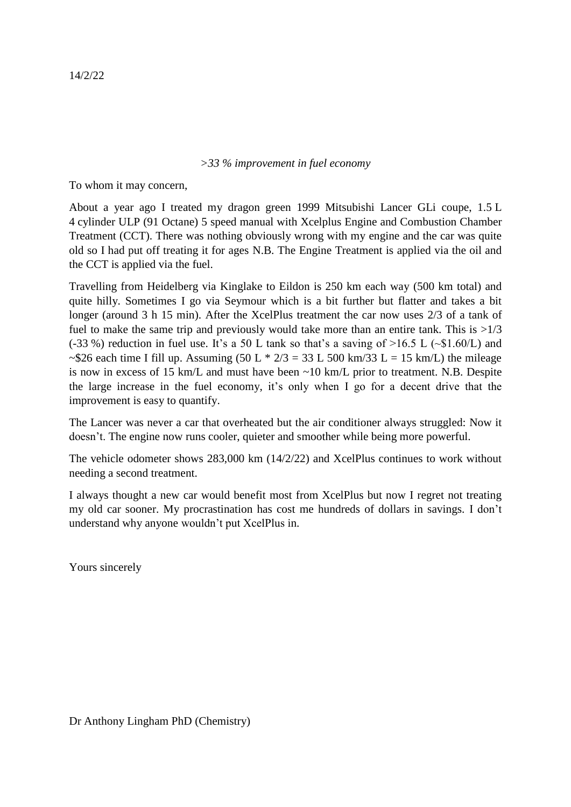## *>33 % improvement in fuel economy*

To whom it may concern,

About a year ago I treated my dragon green 1999 Mitsubishi Lancer GLi coupe, 1.5 L 4 cylinder ULP (91 Octane) 5 speed manual with Xcelplus Engine and Combustion Chamber Treatment (CCT). There was nothing obviously wrong with my engine and the car was quite old so I had put off treating it for ages N.B. The Engine Treatment is applied via the oil and the CCT is applied via the fuel.

Travelling from Heidelberg via Kinglake to Eildon is 250 km each way (500 km total) and quite hilly. Sometimes I go via Seymour which is a bit further but flatter and takes a bit longer (around 3 h 15 min). After the XcelPlus treatment the car now uses 2/3 of a tank of fuel to make the same trip and previously would take more than an entire tank. This is  $>1/3$ (-33 %) reduction in fuel use. It's a 50 L tank so that's a saving of  $>16.5$  L ( $\sim$ \$1.60/L) and ~\$26 each time I fill up. Assuming  $(50 L * 2/3 = 33 L 500 km/33 L = 15 km/L)$  the mileage is now in excess of 15 km/L and must have been ~10 km/L prior to treatment. N.B. Despite the large increase in the fuel economy, it's only when I go for a decent drive that the improvement is easy to quantify.

The Lancer was never a car that overheated but the air conditioner always struggled: Now it doesn't. The engine now runs cooler, quieter and smoother while being more powerful.

The vehicle odometer shows 283,000 km (14/2/22) and XcelPlus continues to work without needing a second treatment.

I always thought a new car would benefit most from XcelPlus but now I regret not treating my old car sooner. My procrastination has cost me hundreds of dollars in savings. I don't understand why anyone wouldn't put XcelPlus in.

Yours sincerely

14/2/22

Dr Anthony Lingham PhD (Chemistry)